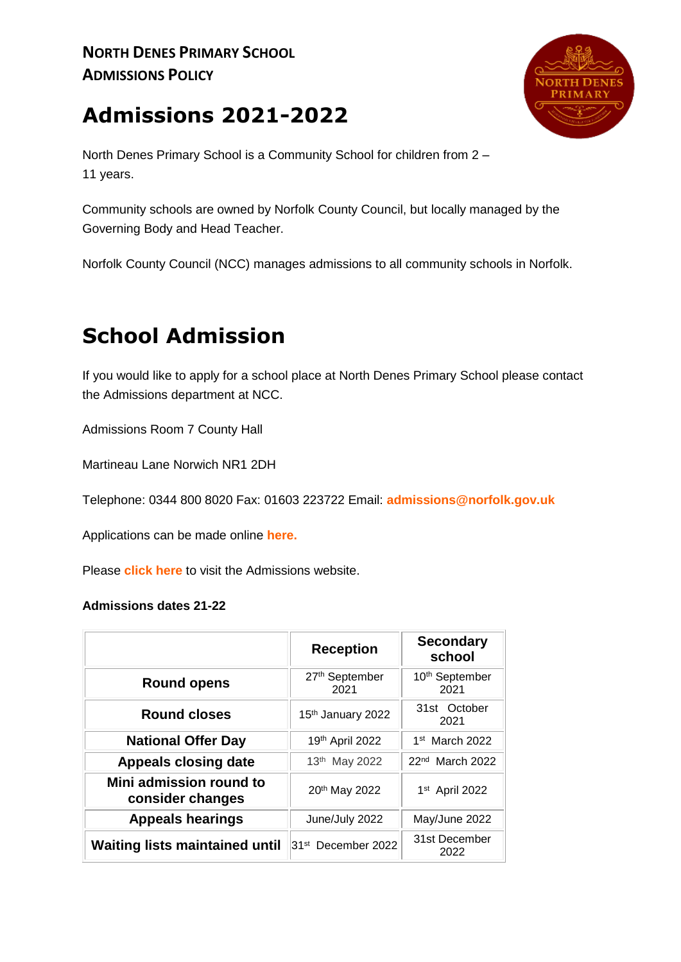# **Admissions 2021-2022**



North Denes Primary School is a Community School for children from 2 – 11 years.

Community schools are owned by Norfolk County Council, but locally managed by the Governing Body and Head Teacher.

Norfolk County Council (NCC) manages admissions to all community schools in Norfolk.

# **School Admission**

If you would like to apply for a school place at North Denes Primary School please contact the Admissions department at NCC.

Admissions Room 7 County Hall

Martineau Lane Norwich NR1 2DH

Telephone: 0344 800 8020 Fax: 01603 223722 Email: **[admissions@norfolk.gov.uk](mailto:admissions@norfolk.gov.uk)**

Applications can be made online **[here.](https://www.admissionsonline.norfolk.gov.uk/Enrol/)**

Please **[click here](http://www.norfolk.gov.uk/Childrens_services/Schools/School_admissions/index.htm)** to visit the Admissions website.

#### **Admissions dates 21-22**

|                                             | <b>Reception</b>               | <b>Secondary</b><br>school         |
|---------------------------------------------|--------------------------------|------------------------------------|
| <b>Round opens</b>                          | 27th September<br>2021         | 10 <sup>th</sup> September<br>2021 |
| <b>Round closes</b>                         | 15th January 2022              | 31st October<br>2021               |
| <b>National Offer Day</b>                   | 19th April 2022                | $1st$ March 2022                   |
| <b>Appeals closing date</b>                 | 13th May 2022                  | 22 <sup>nd</sup> March 2022        |
| Mini admission round to<br>consider changes | 20th May 2022                  | 1st April 2022                     |
| <b>Appeals hearings</b>                     | June/July 2022                 | May/June 2022                      |
| <b>Waiting lists maintained until</b>       | 31 <sup>st</sup> December 2022 | 31st December<br>2022              |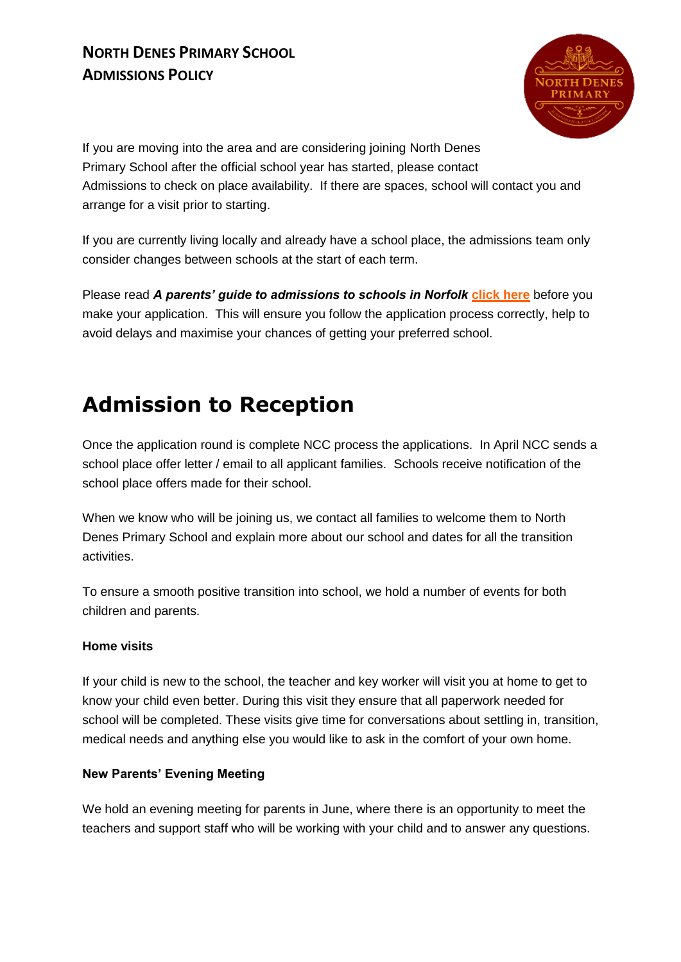## **NORTH DENES PRIMARY SCHOOL ADMISSIONS POLICY**



If you are moving into the area and are considering joining North Denes Primary School after the official school year has started, please contact Admissions to check on place availability. If there are spaces, school will contact you and arrange for a visit prior to starting.

If you are currently living locally and already have a school place, the admissions team only consider changes between schools at the start of each term.

Please read *A parents' guide to admissions to schools in Norfolk* **[click here](http://www.norfolk.gov.uk/view/NCC153439)** before you make your application. This will ensure you follow the application process correctly, help to avoid delays and maximise your chances of getting your preferred school.

## **Admission to Reception**

Once the application round is complete NCC process the applications. In April NCC sends a school place offer letter / email to all applicant families. Schools receive notification of the school place offers made for their school.

When we know who will be joining us, we contact all families to welcome them to North Denes Primary School and explain more about our school and dates for all the transition activities.

To ensure a smooth positive transition into school, we hold a number of events for both children and parents.

### **Home visits**

If your child is new to the school, the teacher and key worker will visit you at home to get to know your child even better. During this visit they ensure that all paperwork needed for school will be completed. These visits give time for conversations about settling in, transition, medical needs and anything else you would like to ask in the comfort of your own home.

#### **New Parents' Evening Meeting**

We hold an evening meeting for parents in June, where there is an opportunity to meet the teachers and support staff who will be working with your child and to answer any questions.